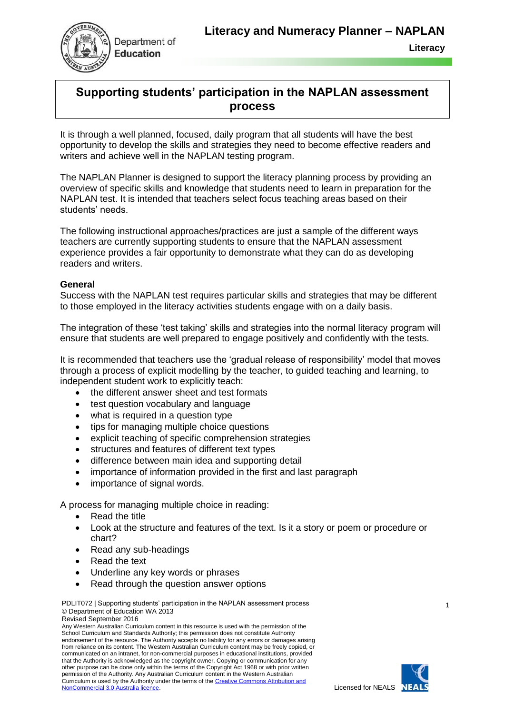

# **Supporting students' participation in the NAPLAN assessment process**

It is through a well planned, focused, daily program that all students will have the best opportunity to develop the skills and strategies they need to become effective readers and writers and achieve well in the NAPLAN testing program.

The NAPLAN Planner is designed to support the literacy planning process by providing an overview of specific skills and knowledge that students need to learn in preparation for the NAPLAN test. It is intended that teachers select focus teaching areas based on their students' needs.

The following instructional approaches/practices are just a sample of the different ways teachers are currently supporting students to ensure that the NAPLAN assessment experience provides a fair opportunity to demonstrate what they can do as developing readers and writers.

#### **General**

Success with the NAPLAN test requires particular skills and strategies that may be different to those employed in the literacy activities students engage with on a daily basis.

The integration of these 'test taking' skills and strategies into the normal literacy program will ensure that students are well prepared to engage positively and confidently with the tests.

It is recommended that teachers use the 'gradual release of responsibility' model that moves through a process of explicit modelling by the teacher, to guided teaching and learning, to independent student work to explicitly teach:

- the different answer sheet and test formats
- test question vocabulary and language
- what is required in a question type
- tips for managing multiple choice questions
- explicit teaching of specific comprehension strategies
- structures and features of different text types
- difference between main idea and supporting detail
- importance of information provided in the first and last paragraph
- importance of signal words.

A process for managing multiple choice in reading:

- Read the title
- Look at the structure and features of the text. Is it a story or poem or procedure or chart?
- Read any sub-headings
- Read the text
- Underline any key words or phrases
- Read through the question answer options

PDLIT072 | Supporting students' participation in the NAPLAN assessment process © Department of Education WA 2013 Revised September 2016

Any Western Australian Curriculum content in this resource is used with the permission of the School Curriculum and Standards Authority; this permission does not constitute Authority endorsement of the resource. The Authority accepts no liability for any errors or damages arising from reliance on its content. The Western Australian Curriculum content may be freely copied, or communicated on an intranet, for non-commercial purposes in educational institutions, provided that the Authority is acknowledged as the copyright owner. Copying or communication for any other purpose can be done only within the terms of the Copyright Act 1968 or with prior written permission of the Authority. Any Australian Curriculum content in the Western Australian .<br>Curriculum is used by the Authority under the terms of the Creative Commons Attribution and NonCommercial 3.0 Australia licence. Licensed for NEALS



1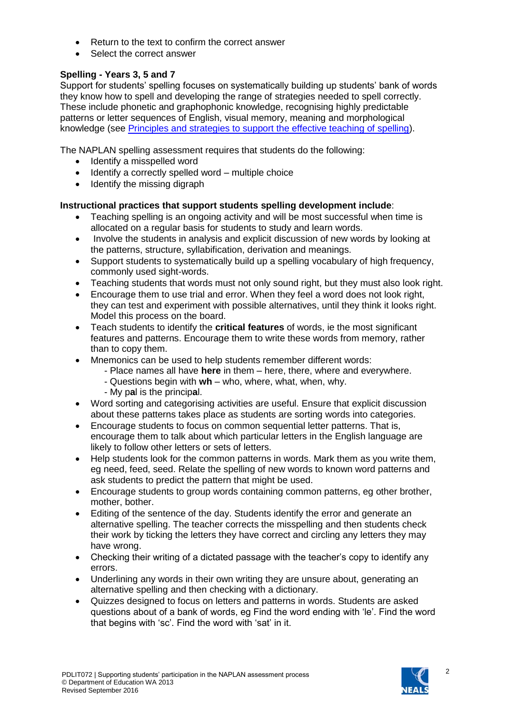- Return to the text to confirm the correct answer
- Select the correct answer

## **Spelling - Years 3, 5 and 7**

Support for students' spelling focuses on systematically building up students' bank of words they know how to spell and developing the range of strategies needed to spell correctly. These include phonetic and graphophonic knowledge, recognising highly predictable patterns or letter sequences of English, visual memory, meaning and morphological knowledge (see Principles [and strategies to support the effective teaching of spelling\)](http://ecm.det.wa.edu.au/connect/resolver/view/DETK102150b/1/DETK102150b.pdf).

The NAPLAN spelling assessment requires that students do the following:

- Identify a misspelled word
- $\bullet$  Identify a correctly spelled word multiple choice
- Identify the missing digraph

### **Instructional practices that support students spelling development include**:

- Teaching spelling is an ongoing activity and will be most successful when time is allocated on a regular basis for students to study and learn words.
- Involve the students in analysis and explicit discussion of new words by looking at the patterns, structure, syllabification, derivation and meanings.
- Support students to systematically build up a spelling vocabulary of high frequency, commonly used sight-words.
- Teaching students that words must not only sound right, but they must also look right.
- Encourage them to use trial and error. When they feel a word does not look right, they can test and experiment with possible alternatives, until they think it looks right. Model this process on the board.
- Teach students to identify the **critical features** of words, ie the most significant features and patterns. Encourage them to write these words from memory, rather than to copy them.
- Mnemonics can be used to help students remember different words:
	- Place names all have **here** in them here, there, where and everywhere.
	- Questions begin with **wh** who, where, what, when, why.
	- My p**a**l is the princip**a**l.
- Word sorting and categorising activities are useful. Ensure that explicit discussion about these patterns takes place as students are sorting words into categories.
- Encourage students to focus on common sequential letter patterns. That is, encourage them to talk about which particular letters in the English language are likely to follow other letters or sets of letters.
- Help students look for the common patterns in words. Mark them as you write them, eg need, feed, seed. Relate the spelling of new words to known word patterns and ask students to predict the pattern that might be used.
- Encourage students to group words containing common patterns, eg other brother, mother, bother.
- Editing of the sentence of the day. Students identify the error and generate an alternative spelling. The teacher corrects the misspelling and then students check their work by ticking the letters they have correct and circling any letters they may have wrong.
- Checking their writing of a dictated passage with the teacher's copy to identify any errors.
- Underlining any words in their own writing they are unsure about, generating an alternative spelling and then checking with a dictionary.
- Quizzes designed to focus on letters and patterns in words. Students are asked questions about of a bank of words, eg Find the word ending with 'le'. Find the word that begins with 'sc'. Find the word with 'sat' in it.

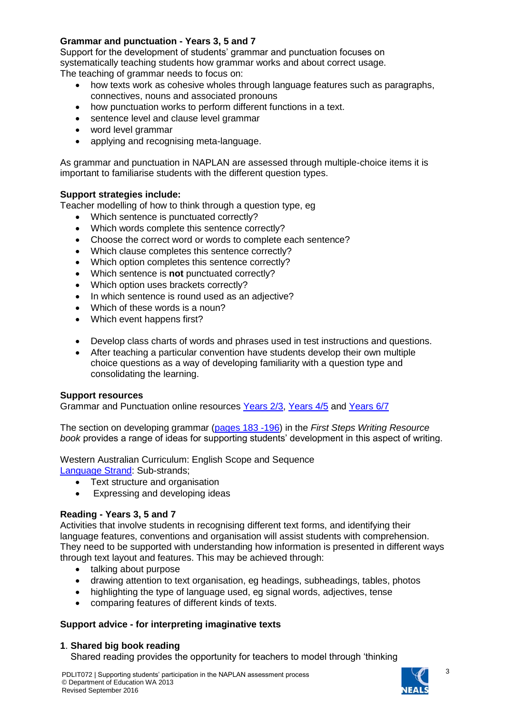## **Grammar and punctuation - Years 3, 5 and 7**

Support for the development of students' grammar and punctuation focuses on systematically teaching students how grammar works and about correct usage. The teaching of grammar needs to focus on:

- how texts work as cohesive wholes through language features such as paragraphs, connectives, nouns and associated pronouns
- how punctuation works to perform different functions in a text.
- sentence level and clause level grammar
- word level grammar
- applying and recognising meta-language.

As grammar and punctuation in NAPLAN are assessed through multiple-choice items it is important to familiarise students with the different question types.

#### **Support strategies include:**

Teacher modelling of how to think through a question type, eg

- Which sentence is punctuated correctly?
- Which words complete this sentence correctly?
- Choose the correct word or words to complete each sentence?
- Which clause completes this sentence correctly?
- Which option completes this sentence correctly?
- Which sentence is **not** punctuated correctly?
- Which option uses brackets correctly?
- In which sentence is round used as an adiective?
- Which of these words is a noun?
- Which event happens first?
- Develop class charts of words and phrases used in test instructions and questions.
- After teaching a particular convention have students develop their own multiple choice questions as a way of developing familiarity with a question type and consolidating the learning.

#### **Support resources**

Grammar and Punctuation online resources [Years 2/3,](http://ecm.det.wa.edu.au/connect/resolver/view/PDLIT051/latest/PDLIT051.pdf) [Years 4/5](http://ecm.det.wa.edu.au/connect/resolver/view/PDLIT052/latest/PDLIT052.pdf) and [Years 6/7](http://ecm.det.wa.edu.au/connect/resolver/view/PDLIT053/latest/PDLIT053.pdf)

The section on developing grammar [\(pages 183](http://ecm.det.wa.edu.au/connect/resolver/view/DETK102080/latest/FSL_Writing_Resource/FSL_Writing%20Resource_ch3.pdf#page=25) -196) in the *First Steps Writing Resource book* provides a range of ideas for supporting students' development in this aspect of writing.

Western Australian Curriculum: English Scope and Sequence [Language Strand:](http://k10outline.scsa.wa.edu.au/home/p-10-curriculum/curriculum-browser/english-v8/overview/glossary/) Sub-strands;

- Text structure and organisation
- Expressing and developing ideas

## **Reading - Years 3, 5 and 7**

Activities that involve students in recognising different text forms, and identifying their language features, conventions and organisation will assist students with comprehension. They need to be supported with understanding how information is presented in different ways through text layout and features. This may be achieved through:

- talking about purpose
- drawing attention to text organisation, eg headings, subheadings, tables, photos
- highlighting the type of language used, eg signal words, adjectives, tense
- comparing features of different kinds of texts.

#### **Support advice - for interpreting imaginative texts**

#### **1**. **Shared big book reading**

Shared reading provides the opportunity for teachers to model through 'thinking